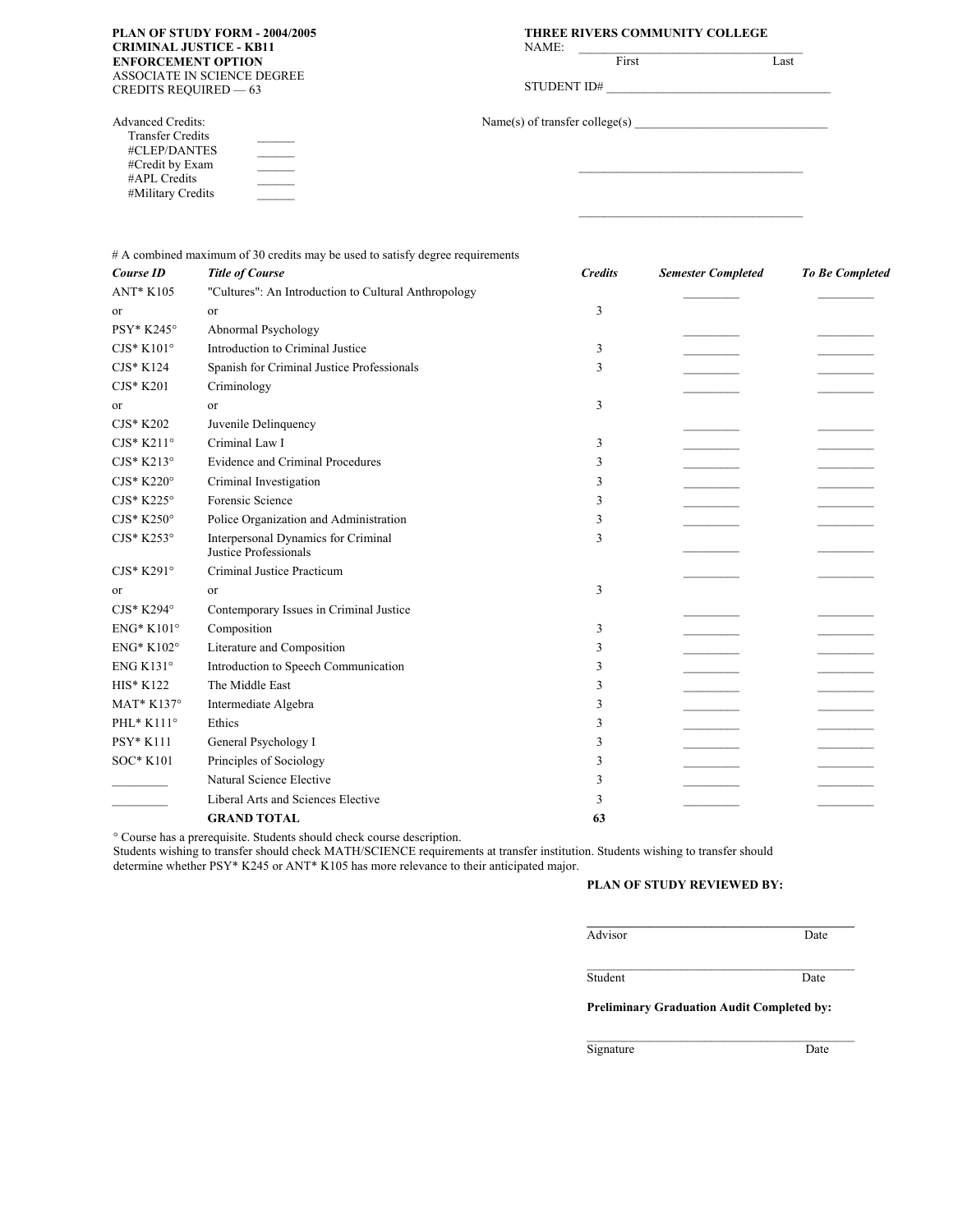## **CRIMINAL JUSTICE - KB11 ENFORCEMENT OPTION**  ASSOCIATE IN SCIENCE DEGREE CREDITS REQUIRED — 63

 $\mathcal{L}=\mathcal{L}$  $\mathcal{L}_\text{max}$  $\mathcal{L}=\mathcal{L}$  $\mathcal{L}=\mathcal{L}$  $\mathcal{L}=\mathcal{L}$ 

Advanced Credits: Transfer Credits #CLEP/DANTES #Credit by Exam #APL Credits #Military Credits

#### **PLAN OF STUDY FORM - 2004/2005 THREE RIVERS COMMUNITY COLLEGE**

| NAME: | First                          | Last |
|-------|--------------------------------|------|
|       |                                |      |
|       |                                |      |
|       | Name(s) of transfer college(s) |      |
|       |                                |      |
|       |                                |      |
|       |                                |      |
|       |                                |      |
|       |                                |      |

|                    | # A combined maximum of 30 credits may be used to satisfy degree requirements |                |                           |                        |
|--------------------|-------------------------------------------------------------------------------|----------------|---------------------------|------------------------|
| <b>Course ID</b>   | <b>Title of Course</b>                                                        | <b>Credits</b> | <b>Semester Completed</b> | <b>To Be Completed</b> |
| <b>ANT* K105</b>   | "Cultures": An Introduction to Cultural Anthropology                          |                |                           |                        |
| or                 | or                                                                            | 3              |                           |                        |
| PSY* K245°         | Abnormal Psychology                                                           |                |                           |                        |
| $CJS*K101°$        | Introduction to Criminal Justice                                              | 3              |                           |                        |
| CJS* K124          | Spanish for Criminal Justice Professionals                                    | 3              |                           |                        |
| $CJS*K201$         | Criminology                                                                   |                |                           |                        |
| or                 | or                                                                            | 3              |                           |                        |
| CJS* K202          | Juvenile Delinquency                                                          |                |                           |                        |
| $CJS*K211°$        | Criminal Law I                                                                | 3              |                           |                        |
| $CJS*K213°$        | <b>Evidence and Criminal Procedures</b>                                       | 3              |                           |                        |
| $CJS*K220°$        | Criminal Investigation                                                        | 3              |                           |                        |
| $CJS*K225^{\circ}$ | Forensic Science                                                              | 3              |                           |                        |
| $CJS*K250°$        | Police Organization and Administration                                        | 3              |                           |                        |
| $CJS*K253°$        | Interpersonal Dynamics for Criminal<br>Justice Professionals                  | 3              |                           |                        |
| $CJS*K291°$        | Criminal Justice Practicum                                                    |                |                           |                        |
| or                 | or                                                                            | 3              |                           |                        |
| $CJS*K294^{\circ}$ | Contemporary Issues in Criminal Justice                                       |                |                           |                        |
| $ENG^*$ K101°      | Composition                                                                   | 3              |                           |                        |
| ENG* K102°         | Literature and Composition                                                    | 3              |                           |                        |
| ENG K131 $\circ$   | Introduction to Speech Communication                                          | 3              |                           |                        |
| HIS* K122          | The Middle East                                                               | 3              |                           |                        |
| MAT* K137°         | Intermediate Algebra                                                          | 3              |                           |                        |
| PHL* K111°         | Ethics                                                                        | 3              |                           |                        |
| PSY* K111          | General Psychology I                                                          | 3              |                           |                        |
| SOC* K101          | Principles of Sociology                                                       | 3              |                           |                        |
|                    | Natural Science Elective                                                      | 3              |                           |                        |
|                    | Liberal Arts and Sciences Elective                                            | 3              |                           |                        |
|                    | <b>GRAND TOTAL</b>                                                            | 63             |                           |                        |

° Course has a prerequisite. Students should check course description.

Students wishing to transfer should check MATH/SCIENCE requirements at transfer institution. Students wishing to transfer should determine whether PSY\* K245 or ANT\* K105 has more relevance to their anticipated major.

#### **PLAN OF STUDY REVIEWED BY:**

AdvisorDate

Student Date

**Preliminary Graduation Audit Completed by:** \_\_\_\_\_\_\_\_\_\_\_\_\_\_\_\_\_\_\_\_\_\_\_\_\_\_\_\_\_\_\_\_\_\_\_\_\_\_\_\_\_\_\_

**\_\_\_\_\_\_\_\_\_\_\_\_\_\_\_\_\_\_\_\_\_\_\_\_\_\_\_\_\_\_\_\_\_\_\_\_\_\_\_\_\_\_\_** 

\_\_\_\_\_\_\_\_\_\_\_\_\_\_\_\_\_\_\_\_\_\_\_\_\_\_\_\_\_\_\_\_\_\_\_\_\_\_\_\_\_\_\_

Signature Date